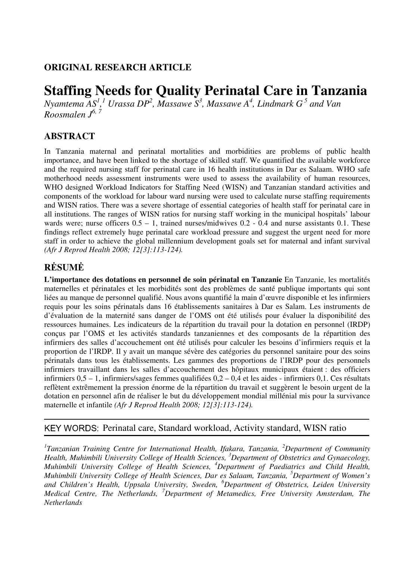## **ORIGINAL RESEARCH ARTICLE**

# **Staffing Needs for Quality Perinatal Care in Tanzania**

*Nyamtema AS<sup>1</sup>*,<sup>1</sup> Urassa DP<sup>2</sup>, Massawe S<sup>3</sup>, Massawe A<sup>4</sup>, Lindmark G<sup>5</sup> and Van *Roosmalen J 6, 7*

### **ABSTRACT**

In Tanzania maternal and perinatal mortalities and morbidities are problems of public health importance, and have been linked to the shortage of skilled staff. We quantified the available workforce and the required nursing staff for perinatal care in 16 health institutions in Dar es Salaam. WHO safe motherhood needs assessment instruments were used to assess the availability of human resources, WHO designed Workload Indicators for Staffing Need (WISN) and Tanzanian standard activities and components of the workload for labour ward nursing were used to calculate nurse staffing requirements and WISN ratios. There was a severe shortage of essential categories of health staff for perinatal care in all institutions. The ranges of WISN ratios for nursing staff working in the municipal hospitals' labour wards were; nurse officers  $0.5 - 1$ , trained nurses/midwives  $0.2 - 0.4$  and nurse assistants  $0.1$ . These findings reflect extremely huge perinatal care workload pressure and suggest the urgent need for more staff in order to achieve the global millennium development goals set for maternal and infant survival *(Afr J Reprod Health 2008; 12[3]:113-124).*

# **R**Ė**SUM**Ė

**L'importance des dotations en personnel de soin périnatal en Tanzanie** En Tanzanie, les mortalités maternelles et périnatales et les morbidités sont des problèmes de santé publique importants qui sont liées au manque de personnel qualifié. Nous avons quantifié la main d'œuvre disponible et les infirmiers requis pour les soins périnatals dans 16 établissements sanitaires à Dar es Salam. Les instruments de d'évaluation de la maternité sans danger de l'OMS ont été utilisés pour évaluer la disponibilité des ressources humaines. Les indicateurs de la répartition du travail pour la dotation en personnel (IRDP) conçus par l'OMS et les activités standards tanzaniennes et des composants de la répartition des infirmiers des salles d'accouchement ont été utilisés pour calculer les besoins d'infirmiers requis et la proportion de l'IRDP. Il y avait un manque sévère des catégories du personnel sanitaire pour des soins périnatals dans tous les établissements. Les gammes des proportions de l'IRDP pour des personnels infirmiers travaillant dans les salles d'accouchement des hôpitaux municipaux étaient : des officiers infirmiers 0,5 – 1, infirmiers/sages femmes qualifiées 0,2 – 0,4 et les aides - infirmiers 0,1. Ces résultats reflètent extrêmement la pression énorme de la répartition du travail et suggèrent le besoin urgent de la dotation en personnel afin de réaliser le but du développement mondial millénial mis pour la survivance maternelle et infantile *(Afr J Reprod Health 2008; 12[3]:113-124).*

#### KEY WORDS: Perinatal care, Standard workload, Activity standard, WISN ratio

<sup>1</sup> Tanzanian Training Centre for International Health, Ifakara, Tanzania, <sup>2</sup>Department of Community *Health, Muhimbili University College of Health Sciences, <sup>3</sup>Department of Obstetrics and Gynaecology, Muhimbili University College of Health Sciences,<sup>4</sup>Department of Paediatrics and Child Health, Muhimbili University College of Health Sciences, Dar es Salaam, Tanzania, <sup>5</sup>Department of Women's and Children's Health, Uppsala University, Sweden, <sup>6</sup>Department of Obstetrics, Leiden University Medical Centre, The Netherlands, <sup>7</sup>Department of Metamedics, Free University Amsterdam, The Netherlands*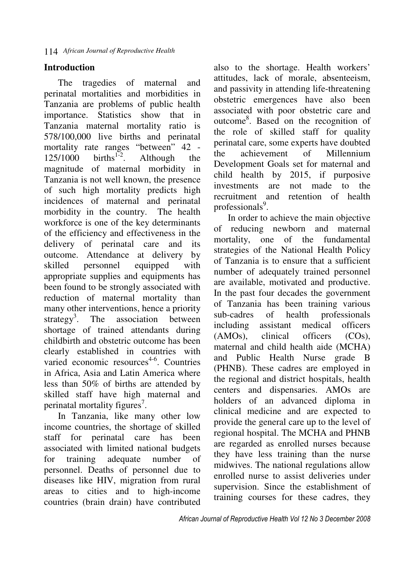## **Introduction**

The tragedies of maternal and perinatal mortalities and morbidities in Tanzania are problems of public health importance. Statistics show that in Tanzania maternal mortality ratio is 578/100,000 live births and perinatal mortality rate ranges "between" 42 -  $125/1000$  births<sup>1-2</sup>. Although the magnitude of maternal morbidity in Tanzania is not well known, the presence of such high mortality predicts high incidences of maternal and perinatal morbidity in the country. The health workforce is one of the key determinants of the efficiency and effectiveness in the delivery of perinatal care and its outcome. Attendance at delivery by skilled personnel equipped with appropriate supplies and equipments has been found to be strongly associated with reduction of maternal mortality than many other interventions, hence a priority strategy<sup>3</sup>. The association between shortage of trained attendants during childbirth and obstetric outcome has been clearly established in countries with varied economic resources<sup>4-6</sup>. Countries in Africa, Asia and Latin America where less than 50% of births are attended by skilled staff have high maternal and perinatal mortality figures<sup>7</sup>.

In Tanzania, like many other low income countries, the shortage of skilled staff for perinatal care has been associated with limited national budgets for training adequate number of personnel. Deaths of personnel due to diseases like HIV, migration from rural areas to cities and to high-income countries (brain drain) have contributed also to the shortage. Health workers' attitudes, lack of morale, absenteeism, and passivity in attending life-threatening obstetric emergences have also been associated with poor obstetric care and outcome<sup>8</sup> . Based on the recognition of the role of skilled staff for quality perinatal care, some experts have doubted the achievement of Millennium Development Goals set for maternal and child health by 2015, if purposive investments are not made to the recruitment and retention of health professionals<sup>9</sup>.

In order to achieve the main objective of reducing newborn and maternal mortality, one of the fundamental strategies of the National Health Policy of Tanzania is to ensure that a sufficient number of adequately trained personnel are available, motivated and productive. In the past four decades the government of Tanzania has been training various sub-cadres of health professionals including assistant medical officers (AMOs), clinical officers (COs), maternal and child health aide (MCHA) and Public Health Nurse grade B (PHNB). These cadres are employed in the regional and district hospitals, health centers and dispensaries. AMOs are holders of an advanced diploma in clinical medicine and are expected to provide the general care up to the level of regional hospital. The MCHA and PHNB are regarded as enrolled nurses because they have less training than the nurse midwives. The national regulations allow enrolled nurse to assist deliveries under supervision. Since the establishment of training courses for these cadres, they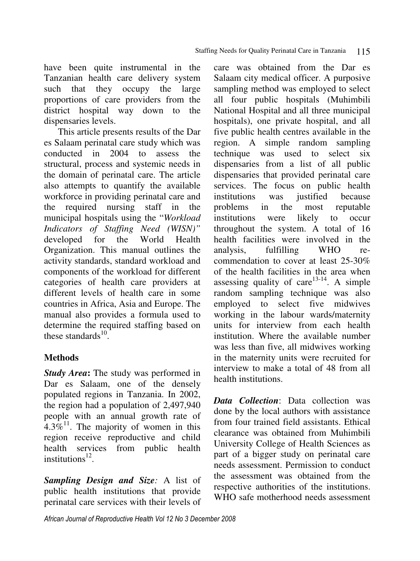have been quite instrumental in the Tanzanian health care delivery system such that they occupy the large proportions of care providers from the district hospital way down to the dispensaries levels.

This article presents results of the Dar es Salaam perinatal care study which was conducted in 2004 to assess the structural, process and systemic needs in the domain of perinatal care. The article also attempts to quantify the available workforce in providing perinatal care and the required nursing staff in the municipal hospitals using the "*Workload Indicators of Staffing Need (WISN)"*  developed for the Organization. This manual outlines the activity standards, standard workload and components of the workload for different categories of health care providers at different levels of health care in some countries in Africa, Asia and Europe. The manual also provides a formula used to determine the required staffing based on these standards $10$ .

# **Methods**

*Study Area*: The study was performed in Dar es Salaam, one of the densely populated regions in Tanzania. In 2002, the region had a population of 2,497,940 people with an annual growth rate of 4.3%<sup>11</sup>. The majority of women in this region receive reproductive and child health services from public health institutions $^{12}$ .

*Sampling Design and Size:* A list of public health institutions that provide perinatal care services with their levels of

care was obtained from the Dar es Salaam city medical officer. A purposive sampling method was employed to select all four public hospitals (Muhimbili National Hospital and all three municipal hospitals), one private hospital, and all five public health centres available in the region. A simple random sampling technique was used to select six dispensaries from a list of all public dispensaries that provided perinatal care services. The focus on public health institutions was justified because problems in the most reputable institutions were likely to occur throughout the system. A total of 16 health facilities were involved in the analysis, fulfilling WHO recommendation to cover at least 25-30% of the health facilities in the area when assessing quality of care $13-14$ . A simple random sampling technique was also employed to select five midwives working in the labour wards/maternity units for interview from each health institution. Where the available number was less than five, all midwives working in the maternity units were recruited for interview to make a total of 48 from all health institutions.

*Data Collection*: Data collection was done by the local authors with assistance from four trained field assistants. Ethical clearance was obtained from Muhimbili University College of Health Sciences as part of a bigger study on perinatal care needs assessment. Permission to conduct the assessment was obtained from the respective authorities of the institutions. WHO safe motherhood needs assessment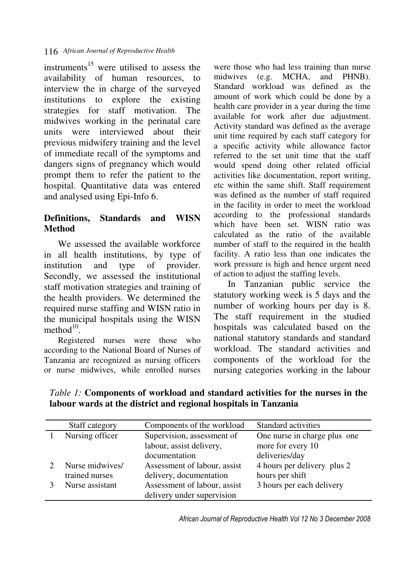instruments<sup>15</sup> were utilised to assess the availability of human resources, to interview the in charge of the surveyed institutions to explore the existing strategies for staff motivation. The midwives working in the perinatal care units were interviewed about their previous midwifery training and the level of immediate recall of the symptoms and dangers signs of pregnancy which would prompt them to refer the patient to the hospital. Quantitative data was entered and analysed using Epi-Info 6.

# **Definitions, Standards and WISN Method**

We assessed the available workforce in all health institutions, by type of institution and type of provider. Secondly, we assessed the institutional staff motivation strategies and training of the health providers. We determined the required nurse staffing and WISN ratio in the municipal hospitals using the WISN method $10$ .

Registered nurses were those who according to the National Board of Nurses of Tanzania are recognized as nursing officers or nurse midwives, while enrolled nurses

were those who had less training than nurse midwives (e.g. MCHA, and PHNB). Standard workload was defined as the amount of work which could be done by a health care provider in a year during the time available for work after due adjustment. Activity standard was defined as the average unit time required by each staff category for a specific activity while allowance factor referred to the set unit time that the staff would spend doing other related official activities like documentation, report writing, etc within the same shift. Staff requirement was defined as the number of staff required in the facility in order to meet the workload according to the professional standards which have been set. WISN ratio was calculated as the ratio of the available number of staff to the required in the health facility. A ratio less than one indicates the work pressure is high and hence urgent need of action to adjust the staffing levels.

In Tanzanian public service the statutory working week is 5 days and the number of working hours per day is 8. The staff requirement in the studied hospitals was calculated based on the national statutory standards and standard workload. The standard activities and components of the workload for the nursing categories working in the labour

*Table 1:* **Components of workload and standard activities for the nurses in the labour wards at the district and regional hospitals in Tanzania** 

| Staff category                    | Components of the workload                                              | Standard activities                                                 |
|-----------------------------------|-------------------------------------------------------------------------|---------------------------------------------------------------------|
| Nursing officer                   | Supervision, assessment of<br>labour, assist delivery,<br>documentation | One nurse in charge plus one<br>more for every 10<br>deliveries/day |
| Nurse midwives/<br>trained nurses | Assessment of labour, assist<br>delivery, documentation                 | 4 hours per delivery plus 2<br>hours per shift                      |
| Nurse assistant                   | Assessment of labour, assist<br>delivery under supervision              | 3 hours per each delivery                                           |

African Journal of Reproductive Health Vol 12 No 3 December 2008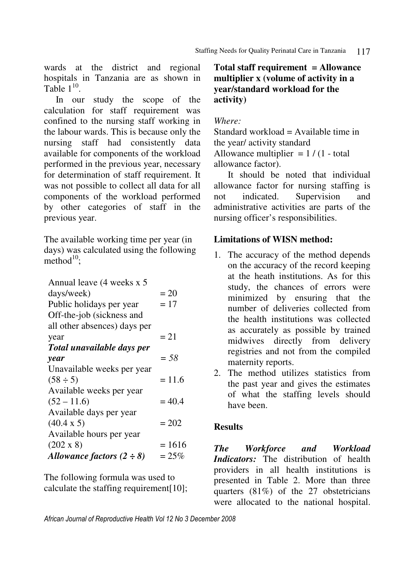wards at the district and regional hospitals in Tanzania are as shown in Table  $1^{10}$ .

 In our study the scope of the calculation for staff requirement was confined to the nursing staff working in the labour wards. This is because only the nursing staff had consistently data available for components of the workload performed in the previous year, necessary for determination of staff requirement. It was not possible to collect all data for all components of the workload performed by other categories of staff in the previous year.

The available working time per year (in days) was calculated using the following  $method<sup>10</sup>$ ;

| Annual leave (4 weeks x 5      |          |
|--------------------------------|----------|
| days/week)                     | $= 20$   |
| Public holidays per year       | $= 17$   |
| Off-the-job (sickness and      |          |
| all other absences) days per   |          |
| year                           | $=21$    |
| Total unavailable days per     |          |
| year                           | $=$ 58   |
| Unavailable weeks per year     |          |
| $(58 \div 5)$                  | $= 11.6$ |
| Available weeks per year       |          |
| $(52 - 11.6)$                  | $= 40.4$ |
| Available days per year        |          |
| $(40.4 \times 5)$              | $= 202$  |
| Available hours per year       |          |
| $(202 \times 8)$               | $= 1616$ |
| Allowance factors $(2 \div 8)$ | $=25%$   |
|                                |          |

The following formula was used to calculate the staffing requirement[10];

## **Total staff requirement = Allowance multiplier x (volume of activity in a year/standard workload for the activity)**

## *Where:*

Standard workload = Available time in the year/ activity standard Allowance multiplier  $= 1 / (1 - total)$ allowance factor).

 It should be noted that individual allowance factor for nursing staffing is not indicated. Supervision and administrative activities are parts of the nursing officer's responsibilities.

## **Limitations of WISN method:**

- 1. The accuracy of the method depends on the accuracy of the record keeping at the heath institutions. As for this study, the chances of errors were minimized by ensuring that the number of deliveries collected from the health institutions was collected as accurately as possible by trained midwives directly from delivery registries and not from the compiled maternity reports.
- 2. The method utilizes statistics from the past year and gives the estimates of what the staffing levels should have been.

# **Results**

*The Workforce and Workload Indicators:* The distribution of health providers in all health institutions is presented in Table 2. More than three quarters (81%) of the 27 obstetricians were allocated to the national hospital.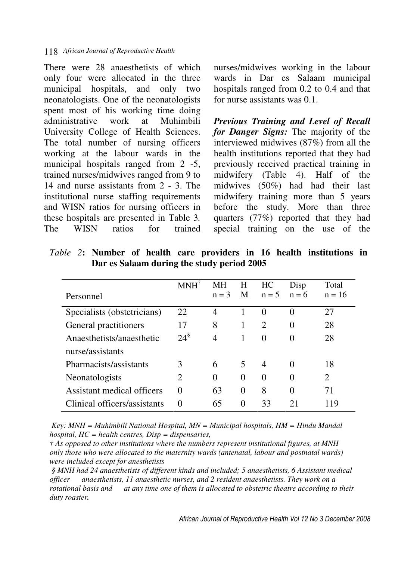There were 28 anaesthetists of which only four were allocated in the three municipal hospitals, and only two neonatologists. One of the neonatologists spent most of his working time doing administrative work at Muhimbili University College of Health Sciences. The total number of nursing officers working at the labour wards in the municipal hospitals ranged from 2 -5, trained nurses/midwives ranged from 9 to 14 and nurse assistants from 2 - 3. The institutional nurse staffing requirements and WISN ratios for nursing officers in these hospitals are presented in Table 3*.*  The WISN ratios for trained nurses/midwives working in the labour wards in Dar es Salaam municipal hospitals ranged from 0.2 to 0.4 and that for nurse assistants was 0.1.

*Previous Training and Level of Recall for Danger Signs:* The majority of the interviewed midwives (87%) from all the health institutions reported that they had previously received practical training in midwifery (Table 4). Half of the midwives (50%) had had their last midwifery training more than 5 years before the study. More than three quarters (77%) reported that they had special training on the use of the

|                              |                    | MН      | H        | HC                          | Disp     | Total          |
|------------------------------|--------------------|---------|----------|-----------------------------|----------|----------------|
| Personnel                    |                    | $n = 3$ | M        | $n = 5$                     | $n = 6$  | $n = 16$       |
| Specialists (obstetricians)  | 22                 | 4       |          | $\theta$                    | $\Omega$ | 27             |
| General practitioners        | 17                 | 8       | 1        | $\mathcal{D}_{\mathcal{L}}$ | 0        | 28             |
| Anaesthetists/anaesthetic    | $24^{\frac{8}{3}}$ | 4       | 1        | $\Omega$                    | $\Omega$ | 28             |
| nurse/assistants             |                    |         |          |                             |          |                |
| Pharmacists/assistants       | 3                  | 6       | 5        | 4                           | $\Omega$ | 18             |
| Neonatologists               | 2                  | 0       | $\Omega$ | $\Omega$                    | 0        | $\overline{2}$ |
| Assistant medical officers   | 0                  | 63      | $\Omega$ | 8                           | 0        | 71             |
| Clinical officers/assistants | 0                  | 65      | 0        | 33                          |          | 119            |

*Table 2***: Number of health care providers in 16 health institutions in Dar es Salaam during the study period 2005** 

 *Key: MNH = Muhimbili National Hospital, MN = Municipal hospitals, HM = Hindu Mandal hospital, HC = health centres, Disp = dispensaries,*

*† As opposed to other institutions where the numbers represent institutional figures, at MNH only those who were allocated to the maternity wards (antenatal, labour and postnatal wards) were included except for anesthetists*

 *§ MNH had 24 anaesthetists of different kinds and included; 5 anaesthetists, 6 Assistant medical officer anaesthetists, 11 anaesthetic nurses, and 2 resident anaesthetists. They work on a rotational basis and at any time one of them is allocated to obstetric theatre according to their duty roaster.*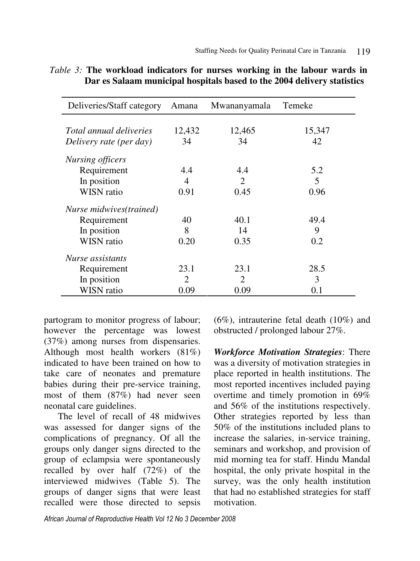| Deliveries/Staff category | Amana                 | Mwananyamala                | Temeke |
|---------------------------|-----------------------|-----------------------------|--------|
|                           |                       |                             |        |
| Total annual deliveries   | 12,432                | 12,465                      | 15,347 |
| Delivery rate (per day)   | 34                    | 34                          | 42     |
| <b>Nursing officers</b>   |                       |                             |        |
| Requirement               | 4.4                   | 4.4                         | 5.2    |
| In position               | 4                     | $\mathcal{D}_{\mathcal{L}}$ | 5      |
| <b>WISN</b> ratio         | 0.91                  | 0.45                        | 0.96   |
| Nurse midwives(trained)   |                       |                             |        |
| Requirement               | 40                    | 40.1                        | 49.4   |
| In position               | 8                     | 14                          | 9      |
| <b>WISN</b> ratio         | 0.20                  | 0.35                        | 0.2    |
| Nurse assistants          |                       |                             |        |
| Requirement               | 23.1                  | 23.1                        | 28.5   |
| In position               | $\mathcal{D}_{\cdot}$ | $\mathcal{D}_{\cdot}$       | 3      |
| <b>WISN</b> ratio         | 0.09                  | 0.09                        | 0.1    |

|  | <i>Table 3:</i> The workload indicators for nurses working in the labour wards in |  |  |  |  |
|--|-----------------------------------------------------------------------------------|--|--|--|--|
|  | Dar es Salaam municipal hospitals based to the 2004 delivery statistics           |  |  |  |  |

partogram to monitor progress of labour; however the percentage was lowest (37%) among nurses from dispensaries. Although most health workers (81%) indicated to have been trained on how to take care of neonates and premature babies during their pre-service training, most of them (87%) had never seen neonatal care guidelines.

The level of recall of 48 midwives was assessed for danger signs of the complications of pregnancy. Of all the groups only danger signs directed to the group of eclampsia were spontaneously recalled by over half (72%) of the interviewed midwives (Table 5). The groups of danger signs that were least recalled were those directed to sepsis

(6%), intrauterine fetal death (10%) and obstructed / prolonged labour 27%.

*Workforce Motivation Strategies*: There was a diversity of motivation strategies in place reported in health institutions. The most reported incentives included paying overtime and timely promotion in 69% and 56% of the institutions respectively. Other strategies reported by less than 50% of the institutions included plans to increase the salaries, in-service training, seminars and workshop, and provision of mid morning tea for staff. Hindu Mandal hospital, the only private hospital in the survey, was the only health institution that had no established strategies for staff motivation.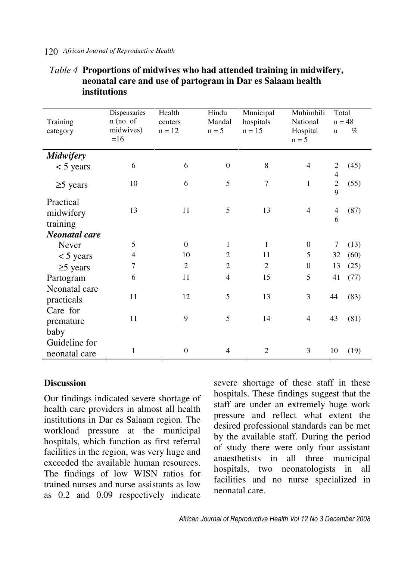## *African Journal of Reproductive Health*  120

| Training<br>category               | Dispensaries<br>$n$ (no. of<br>midwives)<br>$=16$ | Health<br>centers<br>$n = 12$ | Hindu<br>Mandal<br>$n = 5$ | Municipal<br>hospitals<br>$n = 15$ | Muhimbili<br>National<br>Hospital<br>$n = 5$ | $\mathbf n$                                | Total<br>$n = 48$<br>$\%$ |  |
|------------------------------------|---------------------------------------------------|-------------------------------|----------------------------|------------------------------------|----------------------------------------------|--------------------------------------------|---------------------------|--|
| <b>Midwifery</b>                   |                                                   |                               |                            |                                    |                                              |                                            |                           |  |
| $<$ 5 years                        | 6                                                 | 6                             | $\overline{0}$             | 8                                  | $\overline{4}$                               | $\overline{c}$<br>$\overline{\mathcal{L}}$ | (45)                      |  |
| $\geq$ years                       | 10                                                | 6                             | 5                          | $\overline{7}$                     | $\mathbf{1}$                                 | $\overline{c}$<br>9                        | (55)                      |  |
| Practical<br>midwifery<br>training | 13                                                | 11                            | 5                          | 13                                 | $\overline{4}$                               | 4<br>6                                     | (87)                      |  |
| <b>Neonatal</b> care               |                                                   |                               |                            |                                    |                                              |                                            |                           |  |
| Never                              | 5                                                 | $\theta$                      | 1                          | $\mathbf{1}$                       | $\boldsymbol{0}$                             | 7                                          | (13)                      |  |
| $<$ 5 years                        | 4                                                 | 10                            | $\overline{2}$             | 11                                 | 5                                            | 32                                         | (60)                      |  |
| $\geq$ 5 years                     | $\overline{7}$                                    | $\overline{2}$                | $\overline{2}$             | 2                                  | $\boldsymbol{0}$                             | 13                                         | (25)                      |  |
| Partogram                          | 6                                                 | 11                            | $\overline{4}$             | 15                                 | 5                                            | 41                                         | (77)                      |  |
| Neonatal care<br>practicals        | 11                                                | 12                            | 5                          | 13                                 | 3                                            | 44                                         | (83)                      |  |
| Care for<br>premature<br>baby      | 11                                                | 9                             | 5                          | 14                                 | $\overline{4}$                               | 43                                         | (81)                      |  |
| Guideline for<br>neonatal care     | 1                                                 | $\overline{0}$                | 4                          | 2                                  | 3                                            | 10                                         | (19)                      |  |

## *Table 4* **Proportions of midwives who had attended training in midwifery, neonatal care and use of partogram in Dar es Salaam health institutions**

### **Discussion**

Our findings indicated severe shortage of health care providers in almost all health institutions in Dar es Salaam region. The workload pressure at the municipal hospitals, which function as first referral facilities in the region, was very huge and exceeded the available human resources. The findings of low WISN ratios for trained nurses and nurse assistants as low as 0.2 and 0.09 respectively indicate

severe shortage of these staff in these hospitals. These findings suggest that the staff are under an extremely huge work pressure and reflect what extent the desired professional standards can be met by the available staff. During the period of study there were only four assistant anaesthetists in all three municipal hospitals, two neonatologists in all facilities and no nurse specialized in neonatal care.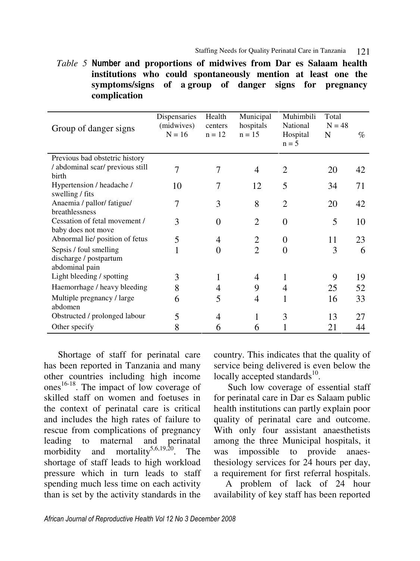*Table 5* Number **and proportions of midwives from Dar es Salaam health institutions who could spontaneously mention at least one the symptoms/signs of a group of danger signs for pregnancy complication** 

| Group of danger signs                                              | Dispensaries<br>(midwives)<br>$N = 16$ | Health<br>centers<br>$n = 12$ | Municipal<br>hospitals<br>$n = 15$ | Muhimbili<br>National<br>Hospital<br>$n = 5$ | Total<br>$N = 48$<br>N | $\%$ |
|--------------------------------------------------------------------|----------------------------------------|-------------------------------|------------------------------------|----------------------------------------------|------------------------|------|
| Previous bad obstetric history                                     |                                        |                               |                                    |                                              |                        |      |
| / abdominal scar/ previous still<br><b>birth</b>                   | 7                                      | 7                             | 4                                  | $\overline{2}$                               | 20                     | 42   |
| Hypertension / headache /<br>swelling / fits                       | 10                                     |                               | 12                                 | 5                                            | 34                     | 71   |
| Anaemia / pallor/ fatigue/<br>breathlessness                       |                                        | 3                             | 8                                  | $\mathcal{D}_{\cdot}$                        | 20                     | 42   |
| Cessation of fetal movement /<br>baby does not move                | 3                                      | 0                             | $\overline{2}$                     | 0                                            | 5                      | 10   |
| Abnormal lie/ position of fetus                                    | 5                                      | 4                             | $\overline{2}$                     | 0                                            | 11                     | 23   |
| Sepsis / foul smelling<br>discharge / postpartum<br>abdominal pain | 1                                      | 0                             | $\overline{2}$                     | 0                                            | 3                      | 6    |
| Light bleeding / spotting                                          | 3                                      |                               | 4                                  |                                              | 9                      | 19   |
| Haemorrhage / heavy bleeding                                       | 8                                      | 4                             | 9                                  | 4                                            | 25                     | 52   |
| Multiple pregnancy / large<br>abdomen                              | 6                                      | 5                             | 4                                  |                                              | 16                     | 33   |
| Obstructed / prolonged labour                                      | 5                                      | 4                             | 1                                  | 3                                            | 13                     | 27   |
| Other specify                                                      | 8                                      | 6                             | 6                                  |                                              | 21                     | 44   |

Shortage of staff for perinatal care has been reported in Tanzania and many other countries including high income ones<sup>16-18</sup>. The impact of low coverage of skilled staff on women and foetuses in the context of perinatal care is critical and includes the high rates of failure to rescue from complications of pregnancy leading to maternal and perinatal morbidity and mortality<sup>5,6,19,20</sup>. The shortage of staff leads to high workload pressure which in turn leads to staff spending much less time on each activity than is set by the activity standards in the

country. This indicates that the quality of service being delivered is even below the locally accepted standards<sup>10</sup>.

Such low coverage of essential staff for perinatal care in Dar es Salaam public health institutions can partly explain poor quality of perinatal care and outcome. With only four assistant anaesthetists among the three Municipal hospitals, it was impossible to provide anaesthesiology services for 24 hours per day, a requirement for first referral hospitals.

 A problem of lack of 24 hour availability of key staff has been reported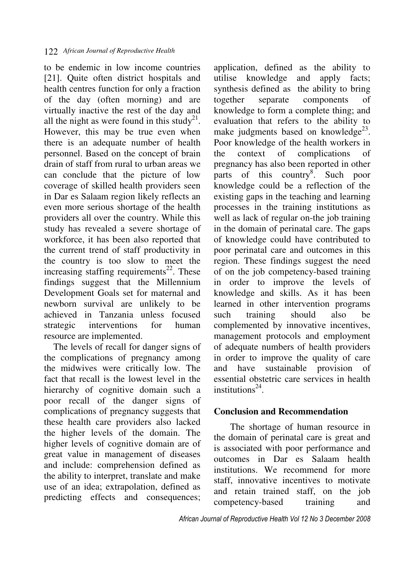to be endemic in low income countries [21]. Quite often district hospitals and health centres function for only a fraction of the day (often morning) and are virtually inactive the rest of the day and all the night as were found in this study<sup>21</sup>. However, this may be true even when there is an adequate number of health personnel. Based on the concept of brain drain of staff from rural to urban areas we can conclude that the picture of low coverage of skilled health providers seen in Dar es Salaam region likely reflects an even more serious shortage of the health providers all over the country. While this study has revealed a severe shortage of workforce, it has been also reported that the current trend of staff productivity in the country is too slow to meet the increasing staffing requirements<sup>22</sup>. These findings suggest that the Millennium Development Goals set for maternal and newborn survival are unlikely to be achieved in Tanzania unless focused strategic interventions for human resource are implemented.

 The levels of recall for danger signs of the complications of pregnancy among the midwives were critically low. The fact that recall is the lowest level in the hierarchy of cognitive domain such a poor recall of the danger signs of complications of pregnancy suggests that these health care providers also lacked the higher levels of the domain. The higher levels of cognitive domain are of great value in management of diseases and include: comprehension defined as the ability to interpret, translate and make use of an idea; extrapolation, defined as predicting effects and consequences;

application, defined as the ability to utilise knowledge and apply facts; synthesis defined as the ability to bring together separate components of knowledge to form a complete thing; and evaluation that refers to the ability to make judgments based on knowledge $^{23}$ . Poor knowledge of the health workers in the context of complications of pregnancy has also been reported in other parts of this country<sup>8</sup>. Such poor knowledge could be a reflection of the existing gaps in the teaching and learning processes in the training institutions as well as lack of regular on-the job training in the domain of perinatal care. The gaps of knowledge could have contributed to poor perinatal care and outcomes in this region. These findings suggest the need of on the job competency-based training in order to improve the levels of knowledge and skills. As it has been learned in other intervention programs such training should also be complemented by innovative incentives, management protocols and employment of adequate numbers of health providers in order to improve the quality of care and have sustainable provision of essential obstetric care services in health institutions $^{24}$ .

#### **Conclusion and Recommendation**

 The shortage of human resource in the domain of perinatal care is great and is associated with poor performance and outcomes in Dar es Salaam health institutions. We recommend for more staff, innovative incentives to motivate and retain trained staff, on the job competency-based training and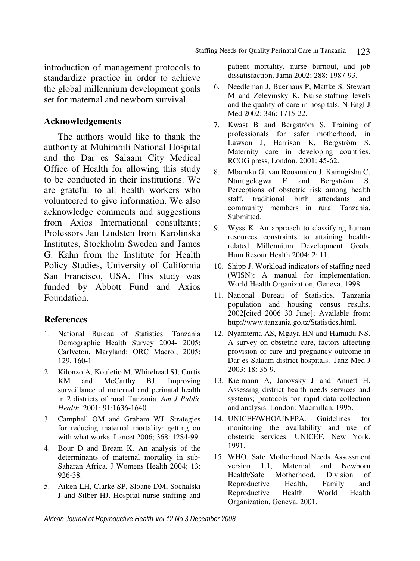introduction of management protocols to standardize practice in order to achieve the global millennium development goals set for maternal and newborn survival.

#### **Acknowledgements**

The authors would like to thank the authority at Muhimbili National Hospital and the Dar es Salaam City Medical Office of Health for allowing this study to be conducted in their institutions. We are grateful to all health workers who volunteered to give information. We also acknowledge comments and suggestions from Axios International consultants; Professors Jan Lindsten from Karolinska Institutes, Stockholm Sweden and James G. Kahn from the Institute for Health Policy Studies, University of California San Francisco, USA. This study was funded by Abbott Fund and Axios Foundation.

#### **References**

- 1. National Bureau of Statistics. Tanzania Demographic Health Survey 2004- 2005: Carlveton, Maryland: ORC Macro., 2005; 129, 160-1
- 2. Kilonzo A, Kouletio M, Whitehead SJ, Curtis KM and McCarthy BJ. Improving surveillance of maternal and perinatal health in 2 districts of rural Tanzania. *Am J Public Health*. 2001; 91:1636-1640
- 3. Campbell OM and Graham WJ. Strategies for reducing maternal mortality: getting on with what works. Lancet 2006; 368: 1284-99.
- 4. Bour D and Bream K. An analysis of the determinants of maternal mortality in sub-Saharan Africa. J Womens Health 2004; 13: 926-38.
- 5. Aiken LH, Clarke SP, Sloane DM, Sochalski J and Silber HJ. Hospital nurse staffing and

patient mortality, nurse burnout, and job dissatisfaction. Jama 2002; 288: 1987-93.

- 6. Needleman J, Buerhaus P, Mattke S, Stewart M and Zelevinsky K. Nurse-staffing levels and the quality of care in hospitals. N Engl J Med 2002; 346: 1715-22.
- 7. Kwast B and Bergström S. Training of professionals for safer motherhood, in Lawson J, Harrison K, Bergström S. Maternity care in developing countries. RCOG press, London. 2001: 45-62.
- 8. Mbaruku G, van Roosmalen J, Kamugisha C, Nturugelegwa E and Bergström S. Perceptions of obstetric risk among health staff, traditional birth attendants and community members in rural Tanzania. Submitted.
- 9. Wyss K. An approach to classifying human resources constraints to attaining healthrelated Millennium Development Goals. Hum Resour Health 2004; 2: 11.
- 10. Shipp J. Workload indicators of staffing need (WISN): A manual for implementation. World Health Organization, Geneva. 1998
- 11. National Bureau of Statistics. Tanzania population and housing census results. 2002[cited 2006 30 June]; Available from: http://www.tanzania.go.tz/Statistics.html.
- 12. Nyamtema AS, Mgaya HN and Hamudu NS. A survey on obstetric care, factors affecting provision of care and pregnancy outcome in Dar es Salaam district hospitals. Tanz Med J 2003; 18: 36-9.
- 13. Kielmann A, Janovsky J and Annett H. Assessing district health needs services and systems; protocols for rapid data collection and analysis. London: Macmillan, 1995.
- 14. UNICEF/WHO/UNFPA. Guidelines for monitoring the availability and use of obstetric services. UNICEF, New York. 1991.
- 15. WHO. Safe Motherhood Needs Assessment version 1.1, Maternal and Newborn Health/Safe Motherhood, Division of Reproductive Health, Family and Reproductive Health. World Health Organization, Geneva. 2001.